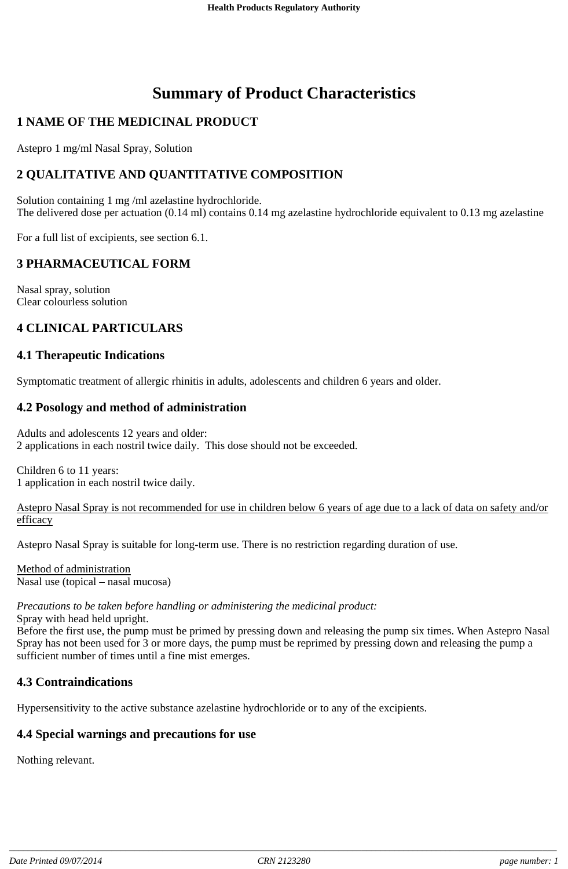# **Summary of Product Characteristics**

# **1 NAME OF THE MEDICINAL PRODUCT**

Astepro 1 mg/ml Nasal Spray, Solution

# **2 QUALITATIVE AND QUANTITATIVE COMPOSITION**

Solution containing 1 mg /ml azelastine hydrochloride. The delivered dose per actuation (0.14 ml) contains 0.14 mg azelastine hydrochloride equivalent to 0.13 mg azelastine

For a full list of excipients, see section 6.1.

# **3 PHARMACEUTICAL FORM**

Nasal spray, solution Clear colourless solution

# **4 CLINICAL PARTICULARS**

## **4.1 Therapeutic Indications**

Symptomatic treatment of allergic rhinitis in adults, adolescents and children 6 years and older.

## **4.2 Posology and method of administration**

Adults and adolescents 12 years and older: 2 applications in each nostril twice daily. This dose should not be exceeded.

Children 6 to 11 years: 1 application in each nostril twice daily.

#### Astepro Nasal Spray is not recommended for use in children below 6 years of age due to a lack of data on safety and/or efficacy

Astepro Nasal Spray is suitable for long-term use. There is no restriction regarding duration of use.

Method of administration Nasal use (topical – nasal mucosa)

## *Precautions to be taken before handling or administering the medicinal product:*

Spray with head held upright.

Before the first use, the pump must be primed by pressing down and releasing the pump six times. When Astepro Nasal Spray has not been used for 3 or more days, the pump must be reprimed by pressing down and releasing the pump a sufficient number of times until a fine mist emerges.

## **4.3 Contraindications**

Hypersensitivity to the active substance azelastine hydrochloride or to any of the excipients.

## **4.4 Special warnings and precautions for use**

Nothing relevant.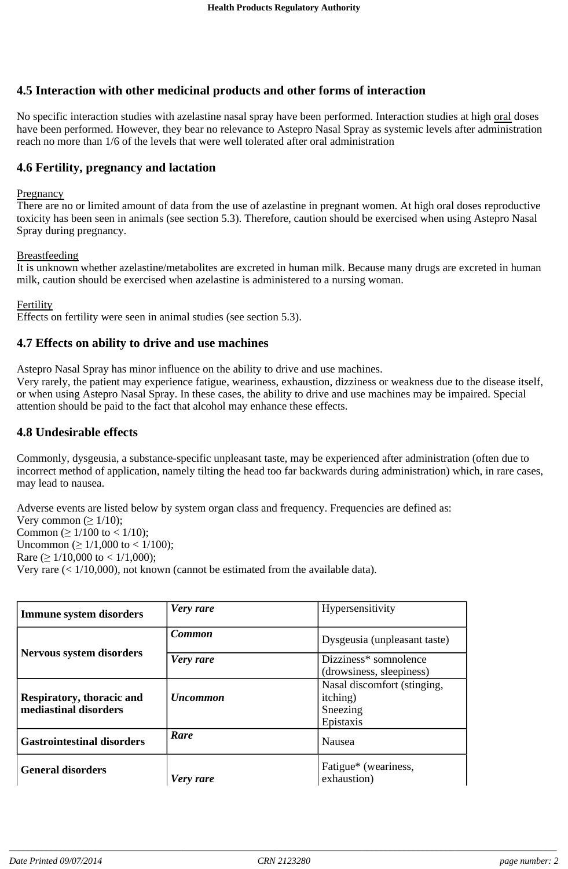# **4.5 Interaction with other medicinal products and other forms of interaction**

No specific interaction studies with azelastine nasal spray have been performed. Interaction studies at high oral doses have been performed. However, they bear no relevance to Astepro Nasal Spray as systemic levels after administration reach no more than 1/6 of the levels that were well tolerated after oral administration

## **4.6 Fertility, pregnancy and lactation**

#### **Pregnancy**

There are no or limited amount of data from the use of azelastine in pregnant women. At high oral doses reproductive toxicity has been seen in animals (see section 5.3). Therefore, caution should be exercised when using Astepro Nasal Spray during pregnancy.

#### Breastfeeding

It is unknown whether azelastine/metabolites are excreted in human milk. Because many drugs are excreted in human milk, caution should be exercised when azelastine is administered to a nursing woman.

#### Fertility

Effects on fertility were seen in animal studies (see section 5.3).

#### **4.7 Effects on ability to drive and use machines**

Astepro Nasal Spray has minor influence on the ability to drive and use machines.

Very rarely, the patient may experience fatigue, weariness, exhaustion, dizziness or weakness due to the disease itself, or when using Astepro Nasal Spray. In these cases, the ability to drive and use machines may be impaired. Special attention should be paid to the fact that alcohol may enhance these effects.

## **4.8 Undesirable effects**

Commonly, dysgeusia, a substance-specific unpleasant taste, may be experienced after administration (often due to incorrect method of application, namely tilting the head too far backwards during administration) which, in rare cases, may lead to nausea.

Adverse events are listed below by system organ class and frequency. Frequencies are defined as: Very common ( $\geq 1/10$ ); Common ( $\geq 1/100$  to < 1/10); Uncommon ( $\geq 1/1,000$  to < 1/100); Rare  $( \geq 1/10,000$  to < 1/1,000); Very rare  $(< 1/10,000)$ , not known (cannot be estimated from the available data).

| <b>Immune system disorders</b>                     | Very rare       | Hypersensitivity                                                         |
|----------------------------------------------------|-----------------|--------------------------------------------------------------------------|
| <b>Nervous system disorders</b>                    | Common          | Dysgeusia (unpleasant taste)                                             |
|                                                    | Very rare       | Dizziness* somnolence<br>(drowsiness, sleepiness)                        |
| Respiratory, thoracic and<br>mediastinal disorders | <b>Uncommon</b> | Nasal discomfort (stinging,<br><i>itching</i> )<br>Sneezing<br>Epistaxis |
| <b>Gastrointestinal disorders</b>                  | Rare            | Nausea                                                                   |
| <b>General disorders</b>                           | Very rare       | Fatigue <sup>*</sup> (weariness,<br>exhaustion)                          |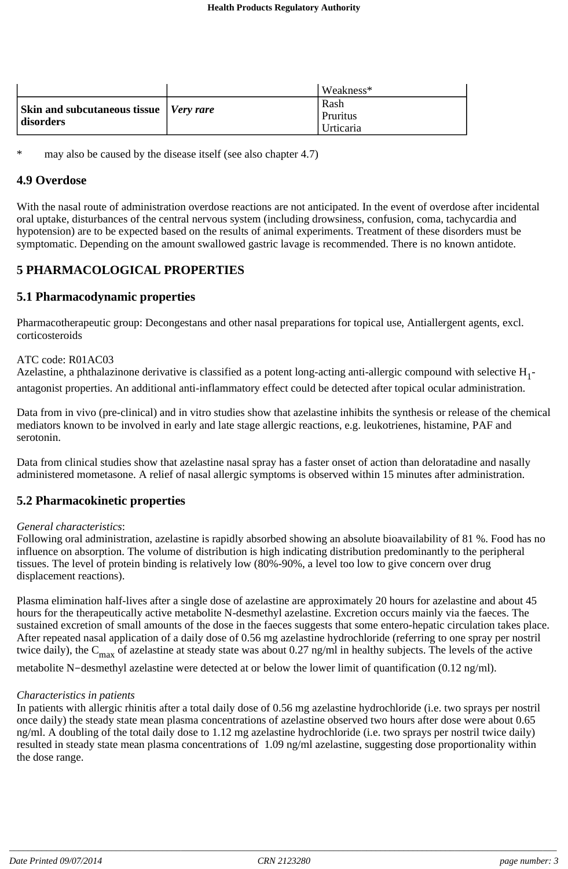|                                                                   | Weakness*                              |
|-------------------------------------------------------------------|----------------------------------------|
| <b>Skin and subcutaneous tissue</b> <i>Very rare</i><br>disorders | Rash<br><b>Pruritus</b><br>l Urticaria |

may also be caused by the disease itself (see also chapter 4.7)

#### **4.9 Overdose**

With the nasal route of administration overdose reactions are not anticipated. In the event of overdose after incidental oral uptake, disturbances of the central nervous system (including drowsiness, confusion, coma, tachycardia and hypotension) are to be expected based on the results of animal experiments. Treatment of these disorders must be symptomatic. Depending on the amount swallowed gastric lavage is recommended. There is no known antidote.

# **5 PHARMACOLOGICAL PROPERTIES**

## **5.1 Pharmacodynamic properties**

Pharmacotherapeutic group: Decongestans and other nasal preparations for topical use, Antiallergent agents, excl. corticosteroids

#### ATC code: R01AC03

Azelastine, a phthalazinone derivative is classified as a potent long-acting anti-allergic compound with selective  $H_1$ antagonist properties. An additional anti-inflammatory effect could be detected after topical ocular administration.

Data from in vivo (pre-clinical) and in vitro studies show that azelastine inhibits the synthesis or release of the chemical mediators known to be involved in early and late stage allergic reactions, e.g. leukotrienes, histamine, PAF and serotonin.

Data from clinical studies show that azelastine nasal spray has a faster onset of action than deloratadine and nasally administered mometasone. A relief of nasal allergic symptoms is observed within 15 minutes after administration.

### **5.2 Pharmacokinetic properties**

#### *General characteristics*:

Following oral administration, azelastine is rapidly absorbed showing an absolute bioavailability of 81 %. Food has no influence on absorption. The volume of distribution is high indicating distribution predominantly to the peripheral tissues. The level of protein binding is relatively low (80%-90%, a level too low to give concern over drug displacement reactions).

Plasma elimination half-lives after a single dose of azelastine are approximately 20 hours for azelastine and about 45 hours for the therapeutically active metabolite N-desmethyl azelastine. Excretion occurs mainly via the faeces. The sustained excretion of small amounts of the dose in the faeces suggests that some entero-hepatic circulation takes place. After repeated nasal application of a daily dose of 0.56 mg azelastine hydrochloride (referring to one spray per nostril twice daily), the  $C_{\text{max}}$  of azelastine at steady state was about 0.27 ng/ml in healthy subjects. The levels of the active

metabolite N-desmethyl azelastine were detected at or below the lower limit of quantification (0.12 ng/ml).

#### *Characteristics in patients*

In patients with allergic rhinitis after a total daily dose of 0.56 mg azelastine hydrochloride (i.e. two sprays per nostril once daily) the steady state mean plasma concentrations of azelastine observed two hours after dose were about 0.65 ng/ml. A doubling of the total daily dose to 1.12 mg azelastine hydrochloride (i.e. two sprays per nostril twice daily) resulted in steady state mean plasma concentrations of 1.09 ng/ml azelastine, suggesting dose proportionality within the dose range.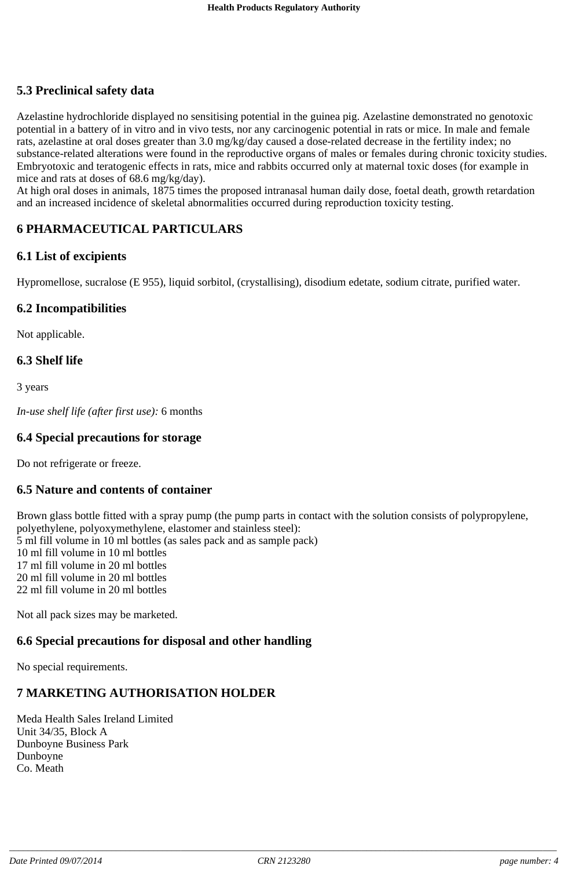# **5.3 Preclinical safety data**

Azelastine hydrochloride displayed no sensitising potential in the guinea pig. Azelastine demonstrated no genotoxic potential in a battery of in vitro and in vivo tests, nor any carcinogenic potential in rats or mice. In male and female rats, azelastine at oral doses greater than 3.0 mg/kg/day caused a dose-related decrease in the fertility index; no substance-related alterations were found in the reproductive organs of males or females during chronic toxicity studies. Embryotoxic and teratogenic effects in rats, mice and rabbits occurred only at maternal toxic doses (for example in mice and rats at doses of 68.6 mg/kg/day).

At high oral doses in animals, 1875 times the proposed intranasal human daily dose, foetal death, growth retardation and an increased incidence of skeletal abnormalities occurred during reproduction toxicity testing.

# **6 PHARMACEUTICAL PARTICULARS**

#### **6.1 List of excipients**

Hypromellose, sucralose (E 955), liquid sorbitol, (crystallising), disodium edetate, sodium citrate, purified water.

#### **6.2 Incompatibilities**

Not applicable.

## **6.3 Shelf life**

3 years

*In-use shelf life (after first use):* 6 months

### **6.4 Special precautions for storage**

Do not refrigerate or freeze.

#### **6.5 Nature and contents of container**

Brown glass bottle fitted with a spray pump (the pump parts in contact with the solution consists of polypropylene, polyethylene, polyoxymethylene, elastomer and stainless steel): ml fill volume in 10 ml bottles (as sales pack and as sample pack) ml fill volume in 10 ml bottles ml fill volume in 20 ml bottles ml fill volume in 20 ml bottles ml fill volume in 20 ml bottles

Not all pack sizes may be marketed.

## **6.6 Special precautions for disposal and other handling**

No special requirements.

## **7 MARKETING AUTHORISATION HOLDER**

Meda Health Sales Ireland Limited Unit 34/35, Block A Dunboyne Business Park Dunboyne Co. Meath